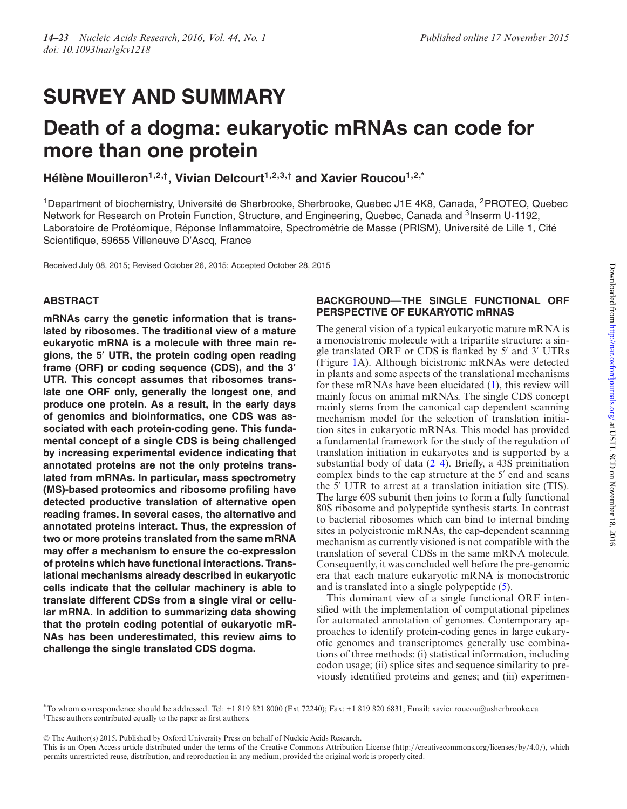# **SURVEY AND SUMMARY**

# **Death of a dogma: eukaryotic mRNAs can code for more than one protein**

**Hélène Mouilleron**<sup>1,2,†</sup>, Vivian Delcourt<sup>1,2,3,†</sup> and Xavier Roucou<sup>1,2,\*</sup>

<sup>1</sup>Department of biochemistry, Université de Sherbrooke, Sherbrooke, Quebec J1E 4K8, Canada, <sup>2</sup>PROTEO, Quebec Network for Research on Protein Function, Structure, and Engineering, Quebec, Canada and <sup>3</sup>Inserm U-1192, Laboratoire de Protéomique, Réponse Inflammatoire, Spectrométrie de Masse (PRISM), Université de Lille 1, Cité Scientifique, 59655 Villeneuve D'Ascq, France

Received July 08, 2015; Revised October 26, 2015; Accepted October 28, 2015

# **ABSTRACT**

**mRNAs carry the genetic information that is translated by ribosomes. The traditional view of a mature eukaryotic mRNA is a molecule with three main regions, the 5- UTR, the protein coding open reading frame (ORF) or coding sequence (CDS), and the 3- UTR. This concept assumes that ribosomes translate one ORF only, generally the longest one, and produce one protein. As a result, in the early days of genomics and bioinformatics, one CDS was associated with each protein-coding gene. This fundamental concept of a single CDS is being challenged by increasing experimental evidence indicating that annotated proteins are not the only proteins translated from mRNAs. In particular, mass spectrometry (MS)-based proteomics and ribosome profiling have detected productive translation of alternative open reading frames. In several cases, the alternative and annotated proteins interact. Thus, the expression of two or more proteins translated from the same mRNA may offer a mechanism to ensure the co-expression of proteins which have functional interactions. Translational mechanisms already described in eukaryotic cells indicate that the cellular machinery is able to translate different CDSs from a single viral or cellular mRNA. In addition to summarizing data showing that the protein coding potential of eukaryotic mR-NAs has been underestimated, this review aims to challenge the single translated CDS dogma.**

# **BACKGROUND––THE SINGLE FUNCTIONAL ORF PERSPECTIVE OF EUKARYOTIC mRNAS**

The general vision of a typical eukaryotic mature mRNA is a monocistronic molecule with a tripartite structure: a single translated ORF or CDS is flanked by 5' and 3' UTRs (Figure [1A](#page-1-0)). Although bicistronic mRNAs were detected in plants and some aspects of the translational mechanisms for these mRNAs have been elucidated [\(1\)](#page-6-0), this review will mainly focus on animal mRNAs. The single CDS concept mainly stems from the canonical cap dependent scanning mechanism model for the selection of translation initiation sites in eukaryotic mRNAs. This model has provided a fundamental framework for the study of the regulation of translation initiation in eukaryotes and is supported by a substantial body of data [\(2–4\)](#page-6-0). Briefly, a 43S preinitiation complex binds to the cap structure at the  $5'$  end and scans the 5' UTR to arrest at a translation initiation site (TIS). The large 60S subunit then joins to form a fully functional 80S ribosome and polypeptide synthesis starts. In contrast to bacterial ribosomes which can bind to internal binding sites in polycistronic mRNAs, the cap-dependent scanning mechanism as currently visioned is not compatible with the translation of several CDSs in the same mRNA molecule. Consequently, it was concluded well before the pre-genomic era that each mature eukaryotic mRNA is monocistronic and is translated into a single polypeptide [\(5\)](#page-6-0).

This dominant view of a single functional ORF intensified with the implementation of computational pipelines for automated annotation of genomes. Contemporary approaches to identify protein-coding genes in large eukaryotic genomes and transcriptomes generally use combinations of three methods: (i) statistical information, including codon usage; (ii) splice sites and sequence similarity to previously identified proteins and genes; and (iii) experimen-

<sup>C</sup> The Author(s) 2015. Published by Oxford University Press on behalf of Nucleic Acids Research.

<sup>\*</sup>To whom correspondence should be addressed. Tel: +1 819 821 8000 (Ext 72240); Fax: +1 819 820 6831; Email: xavier.roucou@usherbrooke.ca †These authors contributed equally to the paper as first authors.

This is an Open Access article distributed under the terms of the Creative Commons Attribution License (http://creativecommons.org/licenses/by/4.0/), which permits unrestricted reuse, distribution, and reproduction in any medium, provided the original work is properly cited.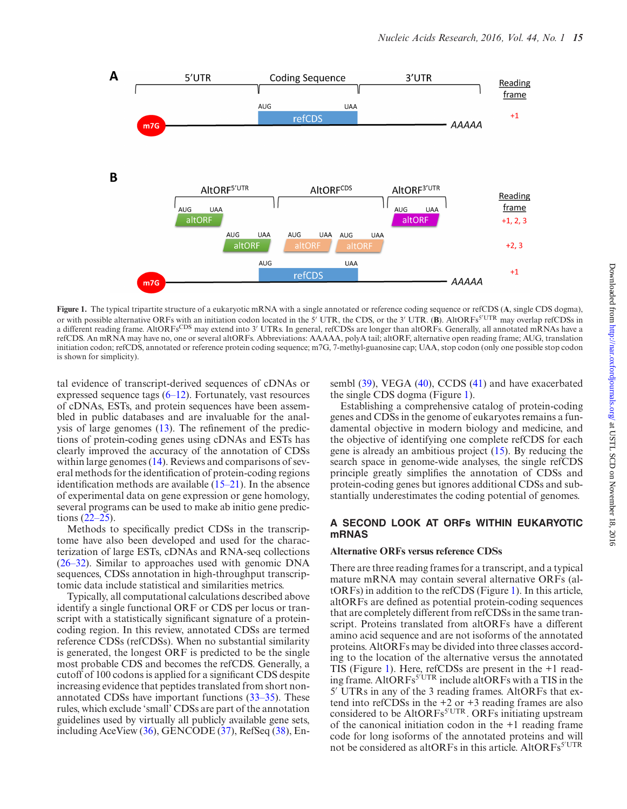<span id="page-1-0"></span>

**Figure 1.** The typical tripartite structure of a eukaryotic mRNA with a single annotated or reference coding sequence or refCDS (**A**, single CDS dogma), or with possible alternative ORFs with an initiation codon located in the 5' UTR, the CDS, or the 3' UTR. (B). AltORFs<sup>5'UTR</sup> may overlap refCDSs in a different reading frame. AltORFs<sup>CDS</sup> may extend into 3' UTRs. In general, refCDSs are longer than altORFs. Generally, all annotated mRNAs have a refCDS. An mRNA may have no, one or several altORFs. Abbreviations: AAAAA, polyA tail; altORF, alternative open reading frame; AUG, translation initiation codon; refCDS, annotated or reference protein coding sequence; m7G, 7-methyl-guanosine cap; UAA, stop codon (only one possible stop codon is shown for simplicity).

tal evidence of transcript-derived sequences of cDNAs or expressed sequence tags [\(6–12\)](#page-6-0). Fortunately, vast resources of cDNAs, ESTs, and protein sequences have been assembled in public databases and are invaluable for the analysis of large genomes [\(13\)](#page-6-0). The refinement of the predictions of protein-coding genes using cDNAs and ESTs has clearly improved the accuracy of the annotation of CDSs within large genomes [\(14\)](#page-6-0). Reviews and comparisons of several methods for the identification of protein-coding regions identification methods are available [\(15–21\)](#page-6-0). In the absence of experimental data on gene expression or gene homology, several programs can be used to make ab initio gene predictions [\(22–25\)](#page-6-0).

Methods to specifically predict CDSs in the transcriptome have also been developed and used for the characterization of large ESTs, cDNAs and RNA-seq collections [\(26–32\)](#page-6-0). Similar to approaches used with genomic DNA sequences, CDSs annotation in high-throughput transcriptomic data include statistical and similarities metrics.

Typically, all computational calculations described above identify a single functional ORF or CDS per locus or transcript with a statistically significant signature of a proteincoding region. In this review, annotated CDSs are termed reference CDSs (refCDSs). When no substantial similarity is generated, the longest ORF is predicted to be the single most probable CDS and becomes the refCDS. Generally, a cutoff of 100 codons is applied for a significant CDS despite increasing evidence that peptides translated from short nonannotated CDSs have important functions [\(33–35\)](#page-6-0). These rules, which exclude 'small' CDSs are part of the annotation guidelines used by virtually all publicly available gene sets, including AceView [\(36\)](#page-6-0), GENCODE [\(37\)](#page-6-0), RefSeq [\(38\)](#page-6-0), Ensembl [\(39\)](#page-6-0), VEGA [\(40\)](#page-6-0), CCDS [\(41\)](#page-6-0) and have exacerbated the single CDS dogma (Figure 1).

Establishing a comprehensive catalog of protein-coding genes and CDSs in the genome of eukaryotes remains a fundamental objective in modern biology and medicine, and the objective of identifying one complete refCDS for each gene is already an ambitious project [\(15\)](#page-6-0). By reducing the search space in genome-wide analyses, the single refCDS principle greatly simplifies the annotation of CDSs and protein-coding genes but ignores additional CDSs and substantially underestimates the coding potential of genomes.

### **A SECOND LOOK AT ORFs WITHIN EUKARYOTIC mRNAS**

#### **Alternative ORFs versus reference CDSs**

There are three reading frames for a transcript, and a typical mature mRNA may contain several alternative ORFs (altORFs) in addition to the refCDS (Figure 1). In this article, altORFs are defined as potential protein-coding sequences that are completely different from refCDSs in the same transcript. Proteins translated from altORFs have a different amino acid sequence and are not isoforms of the annotated proteins. AltORFs may be divided into three classes according to the location of the alternative versus the annotated TIS (Figure 1). Here, refCDSs are present in the +1 reading frame. AltORFs<sup>5'UTR</sup> include altORFs with a TIS in the 5' UTRs in any of the 3 reading frames. AltORFs that extend into refCDSs in the +2 or +3 reading frames are also considered to be AltORFs<sup>5'UTR</sup>. ORFs initiating upstream of the canonical initiation codon in the +1 reading frame code for long isoforms of the annotated proteins and will not be considered as altORFs in this article. AltORFs<sup>5'UTR</sup>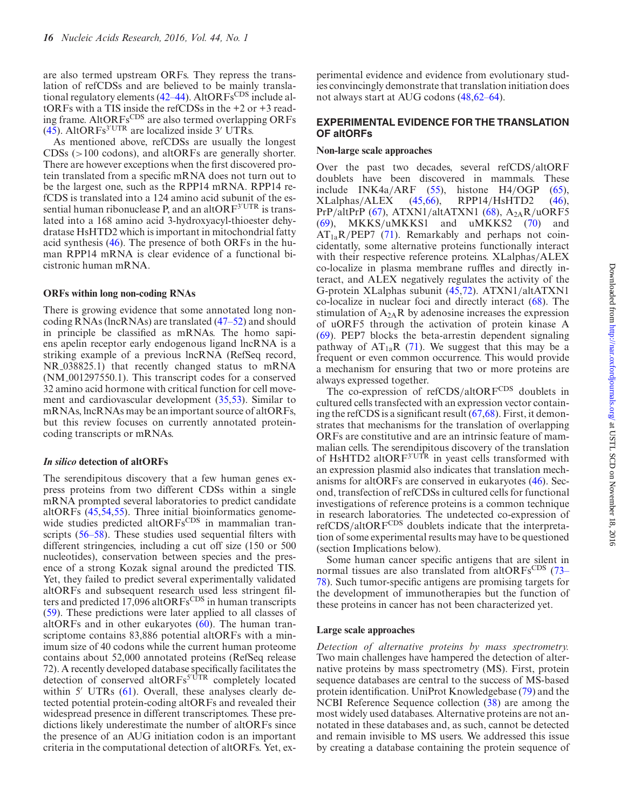are also termed upstream ORFs. They repress the translation of refCDSs and are believed to be mainly translational regulatory elements  $(42-44)$ . AltORFs<sup>CDS</sup> include altORFs with a TIS inside the refCDSs in the +2 or +3 reading frame. AltORFs<sup>CDS</sup> are also termed overlapping ORFs  $(45)$ . AltORFs<sup>3'UTR</sup> are localized inside 3' UTRs.

As mentioned above, refCDSs are usually the longest CDSs (>100 codons), and altORFs are generally shorter. There are however exceptions when the first discovered protein translated from a specific mRNA does not turn out to be the largest one, such as the RPP14 mRNA. RPP14 refCDS is translated into a 124 amino acid subunit of the essential human ribonuclease P, and an altOR $F^{3'UTR}$  is translated into a 168 amino acid 3-hydroxyacyl-thioester dehydratase HsHTD2 which is important in mitochondrial fatty acid synthesis [\(46\)](#page-7-0). The presence of both ORFs in the human RPP14 mRNA is clear evidence of a functional bicistronic human mRNA.

#### **ORFs within long non-coding RNAs**

There is growing evidence that some annotated long noncoding RNAs (lncRNAs) are translated [\(47–52\)](#page-7-0) and should in principle be classified as mRNAs. The homo sapiens apelin receptor early endogenous ligand lncRNA is a striking example of a previous lncRNA (RefSeq record, NR 038825.1) that recently changed status to mRNA (NM 001297550.1). This transcript codes for a conserved 32 amino acid hormone with critical function for cell movement and cardiovascular development [\(35,](#page-6-0)[53\)](#page-7-0). Similar to mRNAs, lncRNAs may be an important source of altORFs, but this review focuses on currently annotated proteincoding transcripts or mRNAs.

#### *In silico* **detection of altORFs**

The serendipitous discovery that a few human genes express proteins from two different CDSs within a single mRNA prompted several laboratories to predict candidate altORFs [\(45,54,55\)](#page-7-0). Three initial bioinformatics genomewide studies predicted altORFsCDS in mammalian transcripts [\(56–58\)](#page-7-0). These studies used sequential filters with different stringencies, including a cut off size (150 or 500 nucleotides), conservation between species and the presence of a strong Kozak signal around the predicted TIS. Yet, they failed to predict several experimentally validated altORFs and subsequent research used less stringent filters and predicted  $17,096$  altORFs<sup>CDS</sup> in human transcripts [\(59\)](#page-7-0). These predictions were later applied to all classes of altORFs and in other eukaryotes [\(60\)](#page-7-0). The human transcriptome contains 83,886 potential altORFs with a minimum size of 40 codons while the current human proteome contains about 52,000 annotated proteins (RefSeq release 72). A recently developed database specifically facilitates the detection of conserved altORFs<sup>5'UTR</sup> completely located within  $5'$  UTRs  $(61)$ . Overall, these analyses clearly detected potential protein-coding altORFs and revealed their widespread presence in different transcriptomes. These predictions likely underestimate the number of altORFs since the presence of an AUG initiation codon is an important criteria in the computational detection of altORFs. Yet, ex-

perimental evidence and evidence from evolutionary studies convincingly demonstrate that translation initiation does not always start at AUG codons [\(48,62–64\)](#page-7-0).

## **EXPERIMENTAL EVIDENCE FOR THE TRANSLATION OF altORFs**

### **Non-large scale approaches**

Over the past two decades, several refCDS/altORF doublets have been discovered in mammals. These include INK4a/ARF [\(55\)](#page-7-0), histone H4/OGP [\(65\)](#page-7-0), XLalphas/ALEX [\(45,66\)](#page-7-0), RPP14/HsHTD2 [\(46\)](#page-7-0), PrP/altPrP [\(67\)](#page-7-0), ATXN1/altATXN1 [\(68\)](#page-7-0),  $A_{2A}R/uORF5$ [\(69\)](#page-7-0), MKKS/uMKKS1 and uMKKS2 [\(70\)](#page-7-0) and  $AT_{1a}R/PEP7$  [\(71\)](#page-7-0). Remarkably and perhaps not coincidentatly, some alternative proteins functionally interact with their respective reference proteins. XLalphas/ALEX co-localize in plasma membrane ruffles and directly interact, and ALEX negatively regulates the activity of the G-protein XLalphas subunit [\(45,72\)](#page-7-0). ATXN1/altATXN1 co-localize in nuclear foci and directly interact [\(68\)](#page-7-0). The stimulation of  $A_{2A}R$  by adenosine increases the expression of uORF5 through the activation of protein kinase A [\(69\)](#page-7-0). PEP7 blocks the beta-arrestin dependent signaling pathway of  $AT_{1a}R$  [\(71\)](#page-7-0). We suggest that this may be a frequent or even common occurrence. This would provide a mechanism for ensuring that two or more proteins are always expressed together.

The co-expression of refCDS/altORFCDS doublets in cultured cells transfected with an expression vector containing the refCDS is a significant result [\(67,68\)](#page-7-0). First, it demonstrates that mechanisms for the translation of overlapping ORFs are constitutive and are an intrinsic feature of mammalian cells. The serendipitous discovery of the translation of HsHTD2 altOR $F<sup>3'UTR</sup>$  in yeast cells transformed with an expression plasmid also indicates that translation mechanisms for altORFs are conserved in eukaryotes [\(46\)](#page-7-0). Second, transfection of refCDSs in cultured cells for functional investigations of reference proteins is a common technique in research laboratories. The undetected co-expression of refCDS/altORF<sup>CDS</sup> doublets indicate that the interpretation of some experimental results may have to be questioned (section Implications below).

Some human cancer specific antigens that are silent in normal tissues are also translated from altORFsCDS (73– [78\). Such tumor-specific antigens are promising targets for](#page-7-0) the development of immunotherapies but the function of these proteins in cancer has not been characterized yet.

#### **Large scale approaches**

*Detection of alternative proteins by mass spectrometry.* Two main challenges have hampered the detection of alternative proteins by mass spectrometry (MS). First, protein sequence databases are central to the success of MS-based protein identification. UniProt Knowledgebase [\(79\)](#page-8-0) and the NCBI Reference Sequence collection [\(38\)](#page-6-0) are among the most widely used databases. Alternative proteins are not annotated in these databases and, as such, cannot be detected and remain invisible to MS users. We addressed this issue by creating a database containing the protein sequence of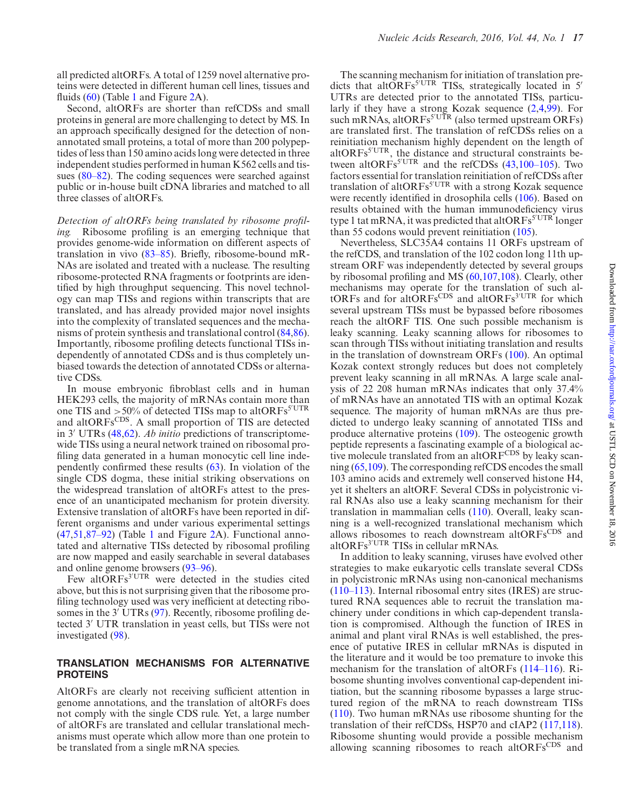all predicted altORFs. A total of 1259 novel alternative proteins were detected in different human cell lines, tissues and fluids [\(60\)](#page-7-0) (Table [1](#page-4-0) and Figure [2A](#page-4-0)).

Second, altORFs are shorter than refCDSs and small proteins in general are more challenging to detect by MS. In an approach specifically designed for the detection of nonannotated small proteins, a total of more than 200 polypeptides of less than 150 amino acids long were detected in three independent studies performed in human K562 cells and tissues [\(80–82\)](#page-8-0). The coding sequences were searched against public or in-house built cDNA libraries and matched to all three classes of altORFs.

*Detection of altORFs being translated by ribosome profiling.* Ribosome profiling is an emerging technique that provides genome-wide information on different aspects of translation in vivo [\(83–85\)](#page-8-0). Briefly, ribosome-bound mR-NAs are isolated and treated with a nuclease. The resulting ribosome-protected RNA fragments or footprints are identified by high throughput sequencing. This novel technology can map TISs and regions within transcripts that are translated, and has already provided major novel insights into the complexity of translated sequences and the mechanisms of protein synthesis and translational control [\(84,86\)](#page-8-0). Importantly, ribosome profiling detects functional TISs independently of annotated CDSs and is thus completely unbiased towards the detection of annotated CDSs or alternative CDSs.

In mouse embryonic fibroblast cells and in human HEK293 cells, the majority of mRNAs contain more than one TIS and  $>50\%$  of detected TISs map to altORFs<sup>5'UTR</sup> and altORFsCDS. A small proportion of TIS are detected in 3' UTRs [\(48,62\)](#page-7-0). *Ab initio* predictions of transcriptomewide TISs using a neural network trained on ribosomal profiling data generated in a human monocytic cell line independently confirmed these results [\(63\)](#page-7-0). In violation of the single CDS dogma, these initial striking observations on the widespread translation of altORFs attest to the presence of an unanticipated mechanism for protein diversity. Extensive translation of altORFs have been reported in different organisms and under various experimental settings [\(47,51,](#page-7-0)[87–92\)](#page-8-0) (Table [1](#page-4-0) and Figure [2A](#page-4-0)). Functional annotated and alternative TISs detected by ribosomal profiling are now mapped and easily searchable in several databases and online genome browsers [\(93–96\)](#page-8-0).

Few altORFs<sup>3'UTR</sup> were detected in the studies cited above, but this is not surprising given that the ribosome profiling technology used was very inefficient at detecting ribo-somes in the 3' UTRs [\(97\)](#page-8-0). Recently, ribosome profiling detected 3' UTR translation in yeast cells, but TISs were not investigated [\(98\)](#page-8-0).

## **TRANSLATION MECHANISMS FOR ALTERNATIVE PROTEINS**

AltORFs are clearly not receiving sufficient attention in genome annotations, and the translation of altORFs does not comply with the single CDS rule. Yet, a large number of altORFs are translated and cellular translational mechanisms must operate which allow more than one protein to be translated from a single mRNA species.

The scanning mechanism for initiation of translation predicts that altORFs<sup>5'UTR</sup> TISs, strategically located in 5<sup>'</sup> UTRs are detected prior to the annotated TISs, particularly if they have a strong Kozak sequence [\(2,4,](#page-6-0)[99\)](#page-8-0). For such mRNAs, altORFs<sup>5'UTR</sup> (also termed upstream ORFs) are translated first. The translation of refCDSs relies on a reinitiation mechanism highly dependent on the length of altORFs<sup>5'UTR</sup>, the distance and structural constraints between altORFs<sup>5'UTR</sup> and the refCDSs  $(43,100-105)$  $(43,100-105)$ . Two factors essential for translation reinitiation of refCDSs after translation of altORFs<sup>5'UTR</sup> with a strong Kozak sequence were recently identified in drosophila cells [\(106\)](#page-8-0). Based on results obtained with the human immunodeficiency virus type 1 tat mRNA, it was predicted that altORFs<sup>5'UTR</sup> longer than 55 codons would prevent reinitiation [\(105\)](#page-8-0).

Nevertheless, SLC35A4 contains 11 ORFs upstream of the refCDS, and translation of the 102 codon long 11th upstream ORF was independently detected by several groups by ribosomal profiling and MS [\(60,](#page-7-0)[107,108\)](#page-8-0). Clearly, other mechanisms may operate for the translation of such altORFs and for altORFs<sup>CDS</sup> and altORFs<sup>3'UTR</sup> for which several upstream TISs must be bypassed before ribosomes reach the altORF TIS. One such possible mechanism is leaky scanning. Leaky scanning allows for ribosomes to scan through TISs without initiating translation and results in the translation of downstream ORFs [\(100\)](#page-8-0). An optimal Kozak context strongly reduces but does not completely prevent leaky scanning in all mRNAs. A large scale analysis of 22 208 human mRNAs indicates that only 37.4% of mRNAs have an annotated TIS with an optimal Kozak sequence. The majority of human mRNAs are thus predicted to undergo leaky scanning of annotated TISs and produce alternative proteins [\(109\)](#page-8-0). The osteogenic growth peptide represents a fascinating example of a biological active molecule translated from an altORFCDS by leaky scanning [\(65](#page-7-0)[,109\)](#page-8-0). The corresponding refCDS encodes the small 103 amino acids and extremely well conserved histone H4, yet it shelters an altORF. Several CDSs in polycistronic viral RNAs also use a leaky scanning mechanism for their translation in mammalian cells [\(110\)](#page-8-0). Overall, leaky scanning is a well-recognized translational mechanism which allows ribosomes to reach downstream alt $ORFs^{CDS}$  and altORFs<sup>3'UTR</sup> TISs in cellular mRNAs.

In addition to leaky scanning, viruses have evolved other strategies to make eukaryotic cells translate several CDSs in polycistronic mRNAs using non-canonical mechanisms [\(110–113\)](#page-8-0). Internal ribosomal entry sites (IRES) are structured RNA sequences able to recruit the translation machinery under conditions in which cap-dependent translation is compromised. Although the function of IRES in animal and plant viral RNAs is well established, the presence of putative IRES in cellular mRNAs is disputed in the literature and it would be too premature to invoke this mechanism for the translation of altORFs [\(114–116\)](#page-8-0). Ribosome shunting involves conventional cap-dependent initiation, but the scanning ribosome bypasses a large structured region of the mRNA to reach downstream TISs [\(110\)](#page-8-0). Two human mRNAs use ribosome shunting for the translation of their refCDSs, HSP70 and cIAP2 [\(117,](#page-8-0)[118\)](#page-9-0). Ribosome shunting would provide a possible mechanism allowing scanning ribosomes to reach altORFsCDS and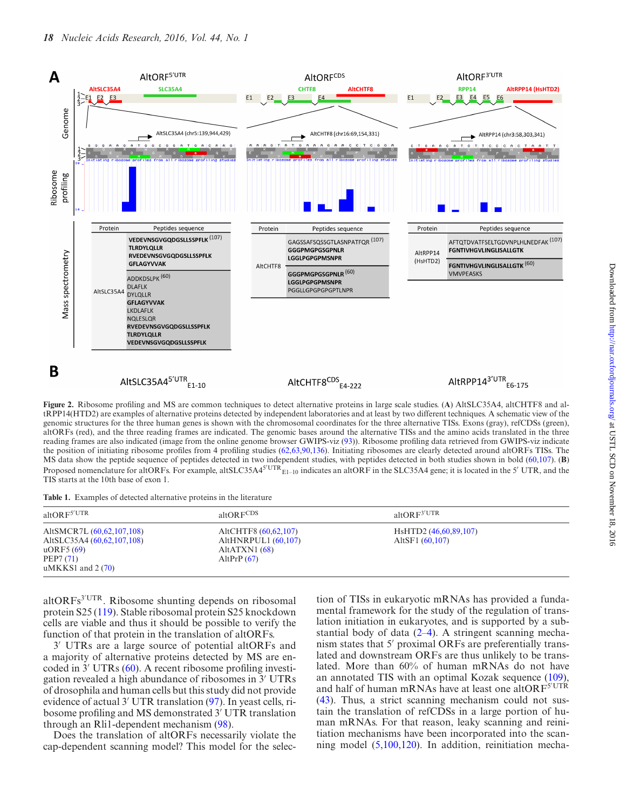<span id="page-4-0"></span>

tRPP14(HTD2) are examples of alternative proteins detected by independent laboratories and at least by two different techniques. A schematic view of the genomic structures for the three human genes is shown with the chromosomal coordinates for the three alternative TISs. Exons (gray), refCDSs (green), altORFs (red), and the three reading frames are indicated. The genomic bases around the alternative TISs and the amino acids translated in the three reading frames are also indicated (image from the online genome browser GWIPS-viz [\(93\)](#page-8-0)). Ribosome profiling data retrieved from GWIPS-viz indicate the position of initiating ribosome profiles from 4 profiling studies [\(62,63](#page-7-0)[,90](#page-8-0)[,136\)](#page-9-0). Initiating ribosomes are clearly detected around altORFs TISs. The MS data show the peptide sequence of peptides detected in two independent studies, with peptides detected in both studies shown in bold [\(60,](#page-7-0)[107\)](#page-8-0). (**B**) Proposed nomenclature for altORFs. For example, altSLC35A4<sup>5'UTR</sup> $_{E1-10}$  indicates an altORF in the SLC35A4 gene; it is located in the 5' UTR, and the TIS starts at the 10th base of exon 1.

**Table 1.** Examples of detected alternative proteins in the literature

| altOR $F^{5'UTR}$                                                                                                | altOR $FCDS$                                                                      | altOR $F^{3'UTR}$                                                 |  |
|------------------------------------------------------------------------------------------------------------------|-----------------------------------------------------------------------------------|-------------------------------------------------------------------|--|
| AltSMCR7L (60,62,107,108)<br>AltSLC35A4 (60,62,107,108)<br>$\mu$ ORF5 $(69)$<br>PEP7(71)<br>$uMKKS1$ and $2(70)$ | AltCHTF8 (60.62.107)<br>AltHNRPUL1 $(60,107)$<br>AltATXN1 $(68)$<br>AltPrP $(67)$ | H <sub>s</sub> HTD <sub>2</sub> (46,60,89,107)<br>AltSF1 (60.107) |  |

altORFs<sup>3'UTR</sup>. Ribosome shunting depends on ribosomal protein S25 [\(119\)](#page-9-0). Stable ribosomal protein S25 knockdown cells are viable and thus it should be possible to verify the function of that protein in the translation of altORFs.

3' UTRs are a large source of potential altORFs and a majority of alternative proteins detected by MS are en-coded in 3' UTRs [\(60\)](#page-7-0). A recent ribosome profiling investigation revealed a high abundance of ribosomes in 3' UTRs of drosophila and human cells but this study did not provide evidence of actual 3' UTR translation [\(97\)](#page-8-0). In yeast cells, ribosome profiling and MS demonstrated 3' UTR translation through an Rli1-dependent mechanism [\(98\)](#page-8-0).

Does the translation of altORFs necessarily violate the cap-dependent scanning model? This model for the selec-

tion of TISs in eukaryotic mRNAs has provided a fundamental framework for the study of the regulation of translation initiation in eukaryotes, and is supported by a substantial body of data  $(2-4)$ . A stringent scanning mechanism states that 5' proximal ORFs are preferentially translated and downstream ORFs are thus unlikely to be translated. More than 60% of human mRNAs do not have an annotated TIS with an optimal Kozak sequence [\(109\)](#page-8-0), and half of human mRNAs have at least one altOR $F^{5'UTR}$ [\(43\)](#page-7-0). Thus, a strict scanning mechanism could not sustain the translation of refCDSs in a large portion of human mRNAs. For that reason, leaky scanning and reinitiation mechanisms have been incorporated into the scanning model [\(5,](#page-6-0)[100](#page-8-0)[,120\)](#page-9-0). In addition, reinitiation mecha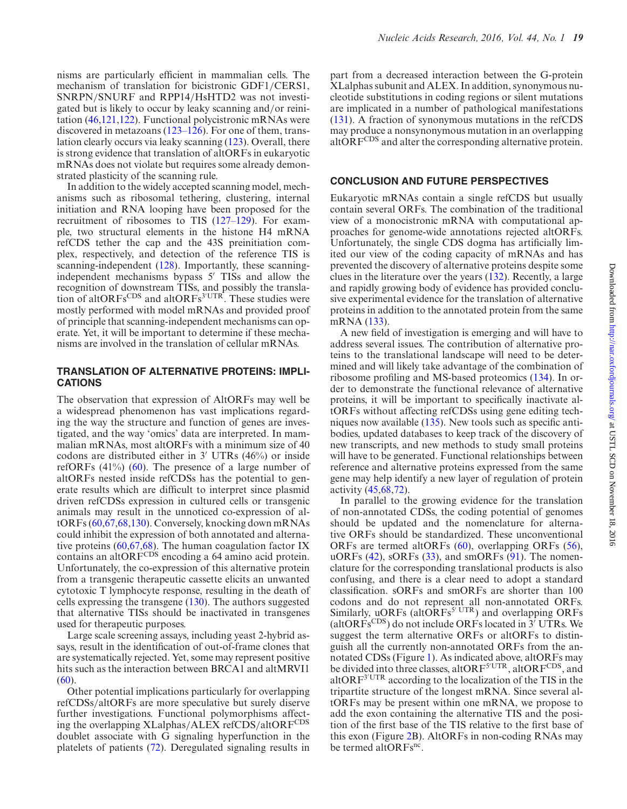nisms are particularly efficient in mammalian cells. The mechanism of translation for bicistronic GDF1/CERS1, SNRPN/SNURF and RPP14/HsHTD2 was not investigated but is likely to occur by leaky scanning and/or reinitation [\(46](#page-7-0)[,121,122\)](#page-9-0). Functional polycistronic mRNAs were discovered in metazoans [\(123–126\)](#page-9-0). For one of them, translation clearly occurs via leaky scanning [\(123\)](#page-9-0). Overall, there is strong evidence that translation of altORFs in eukaryotic mRNAs does not violate but requires some already demonstrated plasticity of the scanning rule.

In addition to the widely accepted scanning model, mechanisms such as ribosomal tethering, clustering, internal initiation and RNA looping have been proposed for the recruitment of ribosomes to TIS [\(127–129\)](#page-9-0). For example, two structural elements in the histone H4 mRNA refCDS tether the cap and the 43S preinitiation complex, respectively, and detection of the reference TIS is scanning-independent [\(128\)](#page-9-0). Importantly, these scanningindependent mechanisms bypass 5' TISs and allow the recognition of downstream TISs, and possibly the translation of altORFs<sup>CDS</sup> and altORFs<sup>3'UTR</sup>. These studies were mostly performed with model mRNAs and provided proof of principle that scanning-independent mechanisms can operate. Yet, it will be important to determine if these mechanisms are involved in the translation of cellular mRNAs.

#### **TRANSLATION OF ALTERNATIVE PROTEINS: IMPLI-CATIONS**

The observation that expression of AltORFs may well be a widespread phenomenon has vast implications regarding the way the structure and function of genes are investigated, and the way 'omics' data are interpreted. In mammalian mRNAs, most altORFs with a minimum size of 40 codons are distributed either in  $3'$  UTRs  $(46%)$  or inside refORFs (41%) [\(60\)](#page-7-0). The presence of a large number of altORFs nested inside refCDSs has the potential to generate results which are difficult to interpret since plasmid driven refCDSs expression in cultured cells or transgenic animals may result in the unnoticed co-expression of altORFs [\(60,67,68,](#page-7-0)[130\)](#page-9-0). Conversely, knocking down mRNAs could inhibit the expression of both annotated and alterna-tive proteins [\(60,67,68\)](#page-7-0). The human coagulation factor IX contains an altORFCDS encoding a 64 amino acid protein. Unfortunately, the co-expression of this alternative protein from a transgenic therapeutic cassette elicits an unwanted cytotoxic T lymphocyte response, resulting in the death of cells expressing the transgene [\(130\)](#page-9-0). The authors suggested that alternative TISs should be inactivated in transgenes used for therapeutic purposes.

Large scale screening assays, including yeast 2-hybrid assays, result in the identification of out-of-frame clones that are systematically rejected. Yet, some may represent positive hits such as the interaction between BRCA1 and altMRVI1  $(60).$  $(60).$ 

Other potential implications particularly for overlapping refCDSs/altORFs are more speculative but surely diserve further investigations. Functional polymorphisms affecting the overlapping XLalphas/ALEX refCDS/altORFCDS doublet associate with G signaling hyperfunction in the platelets of patients [\(72\)](#page-7-0). Deregulated signaling results in part from a decreased interaction between the G-protein XLalphas subunit and ALEX. In addition, synonymous nucleotide substitutions in coding regions or silent mutations are implicated in a number of pathological manifestations [\(131\)](#page-9-0). A fraction of synonymous mutations in the refCDS may produce a nonsynonymous mutation in an overlapping altORFCDS and alter the corresponding alternative protein.

#### **CONCLUSION AND FUTURE PERSPECTIVES**

Eukaryotic mRNAs contain a single refCDS but usually contain several ORFs. The combination of the traditional view of a monocistronic mRNA with computational approaches for genome-wide annotations rejected altORFs. Unfortunately, the single CDS dogma has artificially limited our view of the coding capacity of mRNAs and has prevented the discovery of alternative proteins despite some clues in the literature over the years [\(132\)](#page-9-0). Recently, a large and rapidly growing body of evidence has provided conclusive experimental evidence for the translation of alternative proteins in addition to the annotated protein from the same mRNA [\(133\)](#page-9-0).

A new field of investigation is emerging and will have to address several issues. The contribution of alternative proteins to the translational landscape will need to be determined and will likely take advantage of the combination of ribosome profiling and MS-based proteomics [\(134\)](#page-9-0). In order to demonstrate the functional relevance of alternative proteins, it will be important to specifically inactivate altORFs without affecting refCDSs using gene editing techniques now available [\(135\)](#page-9-0). New tools such as specific antibodies, updated databases to keep track of the discovery of new transcripts, and new methods to study small proteins will have to be generated. Functional relationships between reference and alternative proteins expressed from the same gene may help identify a new layer of regulation of protein activity [\(45,68,72\)](#page-7-0).

In parallel to the growing evidence for the translation of non-annotated CDSs, the coding potential of genomes should be updated and the nomenclature for alternative ORFs should be standardized. These unconventional ORFs are termed altORFs [\(60\)](#page-7-0), overlapping ORFs [\(56\)](#page-7-0),  $uORFs$  [\(42\)](#page-7-0),  $sORFs$  [\(33\)](#page-6-0), and  $smORFs$  [\(91\)](#page-8-0). The nomenclature for the corresponding translational products is also confusing, and there is a clear need to adopt a standard classification. sORFs and smORFs are shorter than 100 codons and do not represent all non-annotated ORFs. Similarly, uORFs (altORFs<sup>5' UTR</sup>) and overlapping ORFs (altORFs<sup>CDS</sup>) do not include ORFs located in  $3<sup>7</sup> UTRs$ . We suggest the term alternative ORFs or altORFs to distinguish all the currently non-annotated ORFs from the annotated CDSs (Figure [1\)](#page-1-0). As indicated above, altORFs may be divided into three classes, altORF<sup>5'UTR</sup>, altORF<sup>CDS</sup>, and altOR $F<sup>3'UTR</sup>$  according to the localization of the TIS in the tripartite structure of the longest mRNA. Since several altORFs may be present within one mRNA, we propose to add the exon containing the alternative TIS and the position of the first base of the TIS relative to the first base of this exon (Figure [2B](#page-4-0)). AltORFs in non-coding RNAs may be termed altORFs<sup>nc</sup>.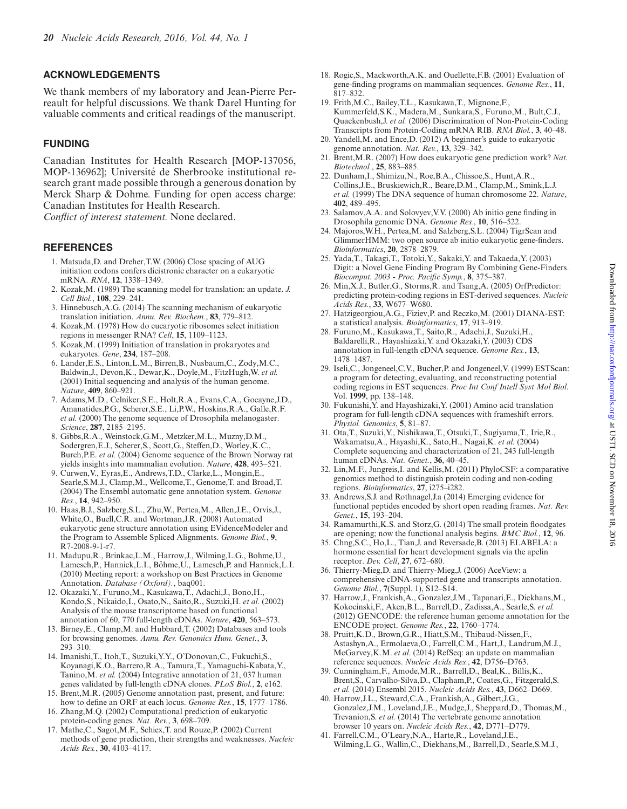# <span id="page-6-0"></span>**ACKNOWLEDGEMENTS**

We thank members of my laboratory and Jean-Pierre Perreault for helpful discussions. We thank Darel Hunting for valuable comments and critical readings of the manuscript.

# **FUNDING**

Canadian Institutes for Health Research [MOP-137056, MOP-136962]; Université de Sherbrooke institutional research grant made possible through a generous donation by Merck Sharp & Dohme. Funding for open access charge: Canadian Institutes for Health Research.

*Conflict of interest statement.* None declared.

# **REFERENCES**

- 1. Matsuda,D. and Dreher,T.W. (2006) Close spacing of AUG initiation codons confers dicistronic character on a eukaryotic mRNA. *RNA*, **12**, 1338–1349.
- 2. Kozak,M. (1989) The scanning model for translation: an update. *J. Cell Biol.*, **108**, 229–241.
- 3. Hinnebusch,A.G. (2014) The scanning mechanism of eukaryotic translation initiation. *Annu. Rev. Biochem.*, **83**, 779–812.
- 4. Kozak,M. (1978) How do eucaryotic ribosomes select initiation regions in messenger RNA? *Cell*, **15**, 1109–1123.
- 5. Kozak,M. (1999) Initiation of translation in prokaryotes and eukaryotes. *Gene*, **234**, 187–208.
- 6. Lander,E.S., Linton,L.M., Birren,B., Nusbaum,C., Zody,M.C., Baldwin,J., Devon,K., Dewar,K., Doyle,M., FitzHugh,W. *et al.* (2001) Initial sequencing and analysis of the human genome. *Nature*, **409**, 860–921.
- 7. Adams,M.D., Celniker,S.E., Holt,R.A., Evans,C.A., Gocayne,J.D., Amanatides,P.G., Scherer,S.E., Li,P.W., Hoskins,R.A., Galle,R.F. *et al.* (2000) The genome sequence of Drosophila melanogaster. *Science*, **287**, 2185–2195.
- 8. Gibbs,R.A., Weinstock,G.M., Metzker,M.L., Muzny,D.M., Sodergren,E.J., Scherer,S., Scott,G., Steffen,D., Worley,K.C., Burch,P.E. *et al.* (2004) Genome sequence of the Brown Norway rat yields insights into mammalian evolution. *Nature*, **428**, 493–521.
- 9. Curwen,V., Eyras,E., Andrews,T.D., Clarke,L., Mongin,E., Searle,S.M.J., Clamp,M., Wellcome,T., Genome,T. and Broad,T. (2004) The Ensembl automatic gene annotation system. *Genome Res.*, **14**, 942–950.
- 10. Haas,B.J., Salzberg,S.L., Zhu,W., Pertea,M., Allen,J.E., Orvis,J., White,O., Buell,C.R. and Wortman,J.R. (2008) Automated eukaryotic gene structure annotation using EVidenceModeler and the Program to Assemble Spliced Alignments. *Genome Biol.*, **9**, R7-2008-9-1-r7.
- 11. Madupu,R., Brinkac,L.M., Harrow,J., Wilming,L.G., Bohme,U., Lamesch, P., Hannick, L.I., Böhme, U., Lamesch, P. and Hannick, L.I. (2010) Meeting report: a workshop on Best Practices in Genome Annotation. *Database (Oxford).*, baq001.
- 12. Okazaki,Y., Furuno,M., Kasukawa,T., Adachi,J., Bono,H., Kondo,S., Nikaido,I., Osato,N., Saito,R., Suzuki,H. *et al.* (2002) Analysis of the mouse transcriptome based on functional annotation of 60, 770 full-length cDNAs. *Nature*, **420**, 563–573.
- 13. Birney,E., Clamp,M. and Hubbard,T. (2002) Databases and tools for browsing genomes. *Annu. Rev. Genomics Hum. Genet.*, **3**, 293–310.
- 14. Imanishi,T., Itoh,T., Suzuki,Y.Y., O'Donovan,C., Fukuchi,S., Koyanagi,K.O., Barrero,R.A., Tamura,T., Yamaguchi-Kabata,Y., Tanino,M. *et al.* (2004) Integrative annotation of 21, 037 human genes validated by full-length cDNA clones. *PLoS Biol.*, **2**, e162.
- 15. Brent,M.R. (2005) Genome annotation past, present, and future: how to define an ORF at each locus. *Genome Res.*, **15**, 1777–1786. 16. Zhang,M.Q. (2002) Computational prediction of eukaryotic
- protein-coding genes. *Nat. Rev.*, **3**, 698–709.
- 17. Mathe,C., Sagot,M.F., Schiex,T. and Rouze,P. (2002) Current methods of gene prediction, their strengths and weaknesses. *Nucleic Acids Res.*, **30**, 4103–4117.
- 18. Rogic,S., Mackworth,A.K. and Ouellette,F.B. (2001) Evaluation of gene-finding programs on mammalian sequences. *Genome Res.*, **11**, 817–832.
- 19. Frith,M.C., Bailey,T.L., Kasukawa,T., Mignone,F., Kummerfeld,S.K., Madera,M., Sunkara,S., Furuno,M., Bult,C.J., Quackenbush,J. *et al.* (2006) Discrimination of Non-Protein-Coding Transcripts from Protein-Coding mRNA RIB. *RNA Biol.*, **3**, 40–48.
- 20. Yandell,M. and Ence,D. (2012) A beginner's guide to eukaryotic genome annotation. *Nat. Rev.*, **13**, 329–342.
- 21. Brent,M.R. (2007) How does eukaryotic gene prediction work? *Nat. Biotechnol.*, **25**, 883–885.
- 22. Dunham,I., Shimizu,N., Roe,B.A., Chissoe,S., Hunt,A.R., Collins,J.E., Bruskiewich,R., Beare,D.M., Clamp,M., Smink,L.J. *et al.* (1999) The DNA sequence of human chromosome 22. *Nature*, **402**, 489–495.
- 23. Salamov,A.A. and Solovyev,V.V. (2000) Ab initio gene finding in Drosophila genomic DNA. *Genome Res.*, **10**, 516–522.
- 24. Majoros,W.H., Pertea,M. and Salzberg,S.L. (2004) TigrScan and GlimmerHMM: two open source ab initio eukaryotic gene-finders. *Bioinformatics*, **20**, 2878–2879.
- 25. Yada,T., Takagi,T., Totoki,Y., Sakaki,Y. and Takaeda,Y. (2003) Digit: a Novel Gene Finding Program By Combining Gene-Finders. *Biocomput. 2003 - Proc. Pacific Symp.*, **8**, 375–387.
- 26. Min,X.J., Butler,G., Storms,R. and Tsang,A. (2005) OrfPredictor: predicting protein-coding regions in EST-derived sequences. *Nucleic Acids Res.*, **33**, W677–W680.
- 27. Hatzigeorgiou,A.G., Fiziev,P. and Reczko,M. (2001) DIANA-EST: a statistical analysis. *Bioinformatics*, **17**, 913–919.
- 28. Furuno,M., Kasukawa,T., Saito,R., Adachi,J., Suzuki,H., Baldarelli,R., Hayashizaki,Y. and Okazaki,Y. (2003) CDS annotation in full-length cDNA sequence. *Genome Res.*, **13**, 1478–1487.
- 29. Iseli,C., Jongeneel,C.V., Bucher,P. and Jongeneel,V. (1999) ESTScan: a program for detecting, evaluating, and reconstructing potential coding regions in EST sequences. *Proc Int Conf Intell Syst Mol Biol*. Vol. **1999**, pp. 138–148.
- 30. Fukunishi, $\hat{Y}$  and Hayashizaki, $Y$ . (2001) Amino acid translation program for full-length cDNA sequences with frameshift errors. *Physiol. Genomics*, **5**, 81–87.
- 31. Ota,T., Suzuki,Y., Nishikawa,T., Otsuki,T., Sugiyama,T., Irie,R., Wakamatsu,A., Hayashi,K., Sato,H., Nagai,K. *et al.* (2004) Complete sequencing and characterization of 21, 243 full-length human cDNAs. *Nat. Genet.*, **36**, 40–45.
- 32. Lin,M.F., Jungreis,I. and Kellis,M. (2011) PhyloCSF: a comparative genomics method to distinguish protein coding and non-coding regions. *Bioinformatics*, **27**, i275–i282.
- 33. Andrews,S.J. and Rothnagel,J.a (2014) Emerging evidence for functional peptides encoded by short open reading frames. *Nat. Rev. Genet.*, **15**, 193–204.
- 34. Ramamurthi,K.S. and Storz,G. (2014) The small protein floodgates are opening; now the functional analysis begins. *BMC Biol.*, **12**, 96.
- 35. Chng,S.C., Ho,L., Tian,J. and Reversade,B. (2013) ELABELA: a hormone essential for heart development signals via the apelin receptor. *Dev. Cell*, **27**, 672–680.
- 36. Thierry-Mieg,D. and Thierry-Mieg,J. (2006) AceView: a comprehensive cDNA-supported gene and transcripts annotation. *Genome Biol.*, **7**(Suppl. 1), S12–S14.
- 37. Harrow,J., Frankish,A., Gonzalez,J.M., Tapanari,E., Diekhans,M., Kokocinski,F., Aken,B.L., Barrell,D., Zadissa,A., Searle,S. *et al.* (2012) GENCODE: the reference human genome annotation for the ENCODE project. *Genome Res.*, **22**, 1760–1774.
- 38. Pruitt,K.D., Brown,G.R., Hiatt,S.M., Thibaud-Nissen,F., Astashyn,A., Ermolaeva,O., Farrell,C.M., Hart,J., Landrum,M.J., McGarvey,K.M. *et al.* (2014) RefSeq: an update on mammalian reference sequences. *Nucleic Acids Res.*, **42**, D756–D763.
- 39. Cunningham,F., Amode,M.R., Barrell,D., Beal,K., Billis,K., Brent,S., Carvalho-Silva,D., Clapham,P., Coates,G., Fitzgerald,S. *et al.* (2014) Ensembl 2015. *Nucleic Acids Res.*, **43**, D662–D669.
- 40. Harrow,J.L., Steward,C.A., Frankish,A., Gilbert,J.G., Gonzalez,J.M., Loveland,J.E., Mudge,J., Sheppard,D., Thomas,M., Trevanion,S. *et al.* (2014) The vertebrate genome annotation browser 10 years on. *Nucleic Acids Res.*, **42**, D771–D779.
- 41. Farrell,C.M., O'Leary,N.A., Harte,R., Loveland,J.E., Wilming,L.G., Wallin,C., Diekhans,M., Barrell,D., Searle,S.M.J.,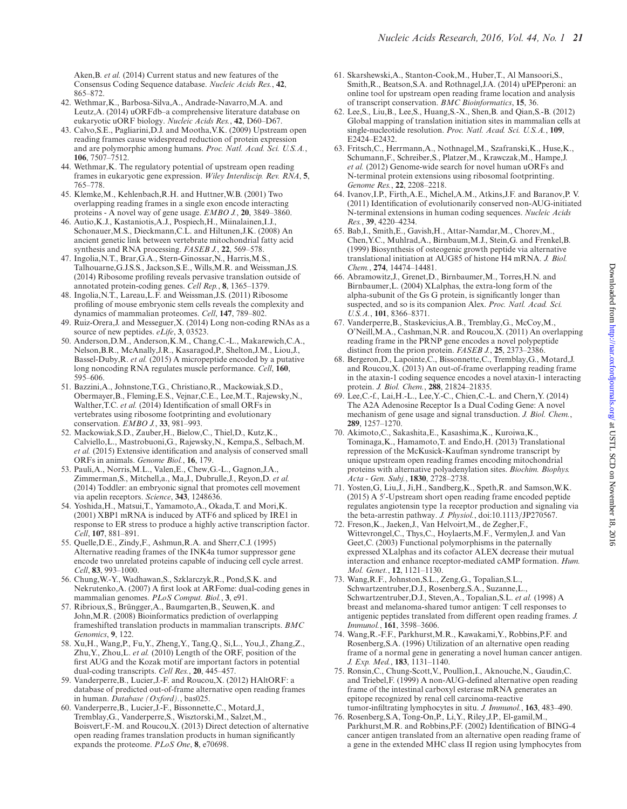<span id="page-7-0"></span>Aken,B. *et al.* (2014) Current status and new features of the Consensus Coding Sequence database. *Nucleic Acids Res.*, **42**, 865–872.

- 42. Wethmar,K., Barbosa-Silva,A., Andrade-Navarro,M.A. and Leutz,A. (2014) uORFdb–a comprehensive literature database on eukaryotic uORF biology. *Nucleic Acids Res.*, **42**, D60–D67.
- 43. Calvo,S.E., Pagliarini,D.J. and Mootha,V.K. (2009) Upstream open reading frames cause widespread reduction of protein expression and are polymorphic among humans. *Proc. Natl. Acad. Sci. U.S.A.*, **106**, 7507–7512.
- 44. Wethmar,K. The regulatory potential of upstream open reading frames in eukaryotic gene expression. *Wiley Interdiscip. Rev. RNA*, **5**, 765–778.
- 45. Klemke,M., Kehlenbach,R.H. and Huttner,W.B. (2001) Two overlapping reading frames in a single exon encode interacting proteins - A novel way of gene usage. *EMBO J.*, **20**, 3849–3860.
- 46. Autio,K.J., Kastaniotis,A.J., Pospiech,H., Miinalainen,I.J., Schonauer,M.S., Dieckmann,C.L. and Hiltunen,J.K. (2008) An ancient genetic link between vertebrate mitochondrial fatty acid synthesis and RNA processing. *FASEB J.*, **22**, 569–578.
- 47. Ingolia,N.T., Brar,G.A., Stern-Ginossar,N., Harris,M.S., Talhouarne,G.J.S.S., Jackson,S.E., Wills,M.R. and Weissman,J.S. (2014) Ribosome profiling reveals pervasive translation outside of annotated protein-coding genes. *Cell Rep.*, **8**, 1365–1379.
- 48. Ingolia,N.T., Lareau,L.F. and Weissman,J.S. (2011) Ribosome profiling of mouse embryonic stem cells reveals the complexity and dynamics of mammalian proteomes. *Cell*, **147**, 789–802.
- 49. Ruiz-Orera,J. and Messeguer,X. (2014) Long non-coding RNAs as a source of new peptides. *eLife*, **3**, 03523.
- 50. Anderson,D.M., Anderson,K.M., Chang,C.-L., Makarewich,C.A., Nelson,B.R., McAnally,J.R., Kasaragod,P., Shelton,J.M., Liou,J., Bassel-Duby,R. *et al.* (2015) A micropeptide encoded by a putative long noncoding RNA regulates muscle performance. *Cell*, **160**, 595–606.
- 51. Bazzini,A., Johnstone,T.G., Christiano,R., Mackowiak,S.D., Obermayer,B., Fleming,E.S., Vejnar,C.E., Lee,M.T., Rajewsky,N., Walther,T.C. *et al.* (2014) Identification of small ORFs in vertebrates using ribosome footprinting and evolutionary conservation. *EMBO J.*, **33**, 981–993.
- 52. Mackowiak,S.D., Zauber,H., Bielow,C., Thiel,D., Kutz,K., Calviello,L., Mastrobuoni,G., Rajewsky,N., Kempa,S., Selbach,M. *et al.* (2015) Extensive identification and analysis of conserved small ORFs in animals. *Genome Biol.*, **16**, 179.
- 53. Pauli,A., Norris,M.L., Valen,E., Chew,G.-L., Gagnon,J.A., Zimmerman,S., Mitchell,a., Ma,J., Dubrulle,J., Reyon,D. *et al.* (2014) Toddler: an embryonic signal that promotes cell movement via apelin receptors. *Science*, **343**, 1248636.
- 54. Yoshida,H., Matsui,T., Yamamoto,A., Okada,T. and Mori,K. (2001) XBP1 mRNA is induced by ATF6 and spliced by IRE1 in response to ER stress to produce a highly active transcription factor. *Cell*, **107**, 881–891.
- 55. Quelle,D.E., Zindy,F., Ashmun,R.A. and Sherr,C.J. (1995) Alternative reading frames of the INK4a tumor suppressor gene encode two unrelated proteins capable of inducing cell cycle arrest. *Cell*, **83**, 993–1000.
- 56. Chung,W.-Y., Wadhawan,S., Szklarczyk,R., Pond,S.K. and Nekrutenko,A. (2007) A first look at ARFome: dual-coding genes in mammalian genomes. *PLoS Comput. Biol.*, **3**, e91.
- 57. Ribrioux, S., Brüngger, A., Baumgarten, B., Seuwen, K. and John,M.R. (2008) Bioinformatics prediction of overlapping frameshifted translation products in mammalian transcripts. *BMC Genomics*, **9**, 122.
- 58. Xu,H., Wang,P., Fu,Y., Zheng,Y., Tang,Q., Si,L., You,J., Zhang,Z., Zhu,Y., Zhou,L. *et al.* (2010) Length of the ORF, position of the first AUG and the Kozak motif are important factors in potential dual-coding transcripts. *Cell Res.*, **20**, 445–457.
- 59. Vanderperre,B., Lucier,J.-F. and Roucou,X. (2012) HAltORF: a database of predicted out-of-frame alternative open reading frames in human. *Database (Oxford).*, bas025.
- 60. Vanderperre,B., Lucier,J.-F., Bissonnette,C., Motard,J., Tremblay,G., Vanderperre,S., Wisztorski,M., Salzet,M., Boisvert,F.-M. and Roucou,X. (2013) Direct detection of alternative open reading frames translation products in human significantly expands the proteome. *PLoS One*, **8**, e70698.
- 61. Skarshewski,A., Stanton-Cook,M., Huber,T., Al Mansoori,S., Smith,R., Beatson,S.A. and Rothnagel,J.A. (2014) uPEPperoni: an online tool for upstream open reading frame location and analysis of transcript conservation. *BMC Bioinformatics*, **15**, 36.
- 62. Lee,S., Liu,B., Lee,S., Huang,S.-X., Shen,B. and Qian,S.-B. (2012) Global mapping of translation initiation sites in mammalian cells at single-nucleotide resolution. *Proc. Natl. Acad. Sci. U.S.A.*, **109**, E2424–E2432.
- 63. Fritsch,C., Herrmann,A., Nothnagel,M., Szafranski,K., Huse,K., Schumann,F., Schreiber,S., Platzer,M., Krawczak,M., Hampe,J. *et al.* (2012) Genome-wide search for novel human uORFs and N-terminal protein extensions using ribosomal footprinting. *Genome Res.*, **22**, 2208–2218.
- 64. Ivanov,I.P., Firth,A.E., Michel,A.M., Atkins,J.F. and Baranov,P. V. (2011) Identification of evolutionarily conserved non-AUG-initiated N-terminal extensions in human coding sequences. *Nucleic Acids Res.*, **39**, 4220–4234.
- 65. Bab,I., Smith,E., Gavish,H., Attar-Namdar,M., Chorev,M., Chen,Y.C., Muhlrad,A., Birnbaum,M.J., Stein,G. and Frenkel,B. (1999) Biosynthesis of osteogenic growth peptide via alternative translational initiation at AUG85 of histone H4 mRNA. *J. Biol. Chem.*, **274**, 14474–14481.
- 66. Abramowitz,J., Grenet,D., Birnbaumer,M., Torres,H.N. and Birnbaumer,L. (2004) XLalphas, the extra-long form of the alpha-subunit of the Gs G protein, is significantly longer than suspected, and so is its companion Alex. *Proc. Natl. Acad. Sci. U.S.A.*, **101**, 8366–8371.
- 67. Vanderperre,B., Staskevicius,A.B., Tremblay,G., McCoy,M., O'Neill,M.A., Cashman,N.R. and Roucou,X. (2011) An overlapping reading frame in the PRNP gene encodes a novel polypeptide distinct from the prion protein. *FASEB J.*, **25**, 2373–2386.
- 68. Bergeron,D., Lapointe,C., Bissonnette,C., Tremblay,G., Motard,J. and Roucou,X. (2013) An out-of-frame overlapping reading frame in the ataxin-1 coding sequence encodes a novel ataxin-1 interacting protein. *J. Biol. Chem.*, **288**, 21824–21835.
- 69. Lee,C.-f., Lai,H.-L., Lee,Y.-C., Chien,C.-L. and Chern,Y. (2014) The A2A Adenosine Receptor Is a Dual Coding Gene: A novel mechanism of gene usage and signal transduction. *J. Biol. Chem.*, **289**, 1257–1270.
- 70. Akimoto,C., Sakashita,E., Kasashima,K., Kuroiwa,K., Tominaga,K., Hamamoto,T. and Endo,H. (2013) Translational repression of the McKusick-Kaufman syndrome transcript by unique upstream open reading frames encoding mitochondrial proteins with alternative polyadenylation sites. *Biochim. Biophys. Acta - Gen. Subj.*, **1830**, 2728–2738.
- 71. Yosten,G, Liu,J., Ji,H., Sandberg,K., Speth,R. and Samson,W.K. (2015) A 5'-Upstream short open reading frame encoded peptide regulates angiotensin type 1a receptor production and signaling via the beta-arrestin pathway. *J. Physiol.*, doi:10.1113/JP270567.
- 72. Freson,K., Jaeken,J., Van Helvoirt,M., de Zegher,F., Wittevrongel,C., Thys,C., Hoylaerts,M.F., Vermylen,J. and Van Geet,C. (2003) Functional polymorphisms in the paternally expressed XLalphas and its cofactor ALEX decrease their mutual interaction and enhance receptor-mediated cAMP formation. *Hum. Mol. Genet.*, **12**, 1121–1130.
- 73. Wang,R.F., Johnston,S.L., Zeng,G., Topalian,S.L., Schwartzentruber,D.J., Rosenberg,S.A., Suzanne,L., Schwartzentruber,D.J., Steven,A., Topalian,S.L. *et al.* (1998) A breast and melanoma-shared tumor antigen: T cell responses to antigenic peptides translated from different open reading frames. *J. Immunol.*, **161**, 3598–3606.
- 74. Wang,R.-F.F., Parkhurst,M.R., Kawakami,Y., Robbins,P.F. and Rosenberg,S.A. (1996) Utilization of an alternative open reading frame of a normal gene in generating a novel human cancer antigen. *J. Exp. Med.*, **183**, 1131–1140.
- 75. Ronsin,C., Chung-Scott,V., Poullion,I., Aknouche,N., Gaudin,C. and Triebel,F. (1999) A non-AUG-defined alternative open reading frame of the intestinal carboxyl esterase mRNA generates an epitope recognized by renal cell carcinoma-reactive tumor-infiltrating lymphocytes in situ. *J. Immunol.*, **163**, 483–490.
- 76. Rosenberg,S.A, Tong-On,P., Li,Y., Riley,J.P., El-gamil,M., Parkhurst,M.R. and Robbins,P.F. (2002) Identification of BING-4 cancer antigen translated from an alternative open reading frame of a gene in the extended MHC class II region using lymphocytes from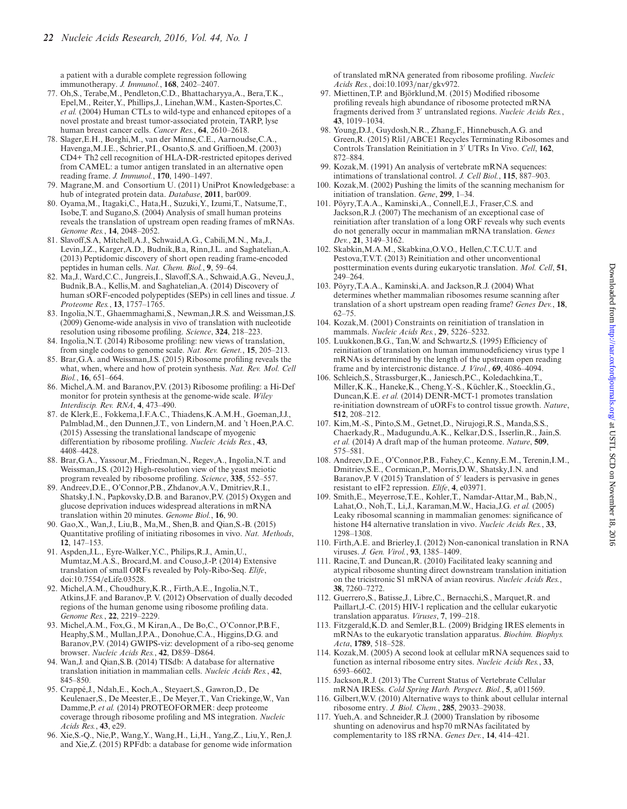<span id="page-8-0"></span>a patient with a durable complete regression following immunotherapy. *J. Immunol.*, **168**, 2402–2407.

- 77. Oh,S., Terabe,M., Pendleton,C.D., Bhattacharyya,A., Bera,T.K., Epel,M., Reiter,Y., Phillips,J., Linehan,W.M., Kasten-Sportes,C. *et al.* (2004) Human CTLs to wild-type and enhanced epitopes of a novel prostate and breast tumor-associated protein, TARP, lyse human breast cancer cells. *Cancer Res.*, **64**, 2610–2618.
- 78. Slager,E.H., Borghi,M., van der Minne,C.E., Aarnoudse,C.A., Havenga,M.J.E., Schrier,P.I., Osanto,S. and Griffioen,M. (2003) CD4+ Th2 cell recognition of HLA-DR-restricted epitopes derived from CAMEL: a tumor antigen translated in an alternative open reading frame. *J. Immunol.*, **170**, 1490–1497.
- 79. Magrane,M. and Consortium U. (2011) UniProt Knowledgebase: a hub of integrated protein data. *Database*, **2011**, bar009.
- 80. Oyama,M., Itagaki,C., Hata,H., Suzuki,Y., Izumi,T., Natsume,T., Isobe,T. and Sugano,S. (2004) Analysis of small human proteins reveals the translation of upstream open reading frames of mRNAs. *Genome Res.*, **14**, 2048–2052.
- 81. Slavoff,S.A, Mitchell,A.J., Schwaid,A.G., Cabili,M.N., Ma,J., Levin,J.Z., Karger,A.D., Budnik,B.a, Rinn,J.L. and Saghatelian,A. (2013) Peptidomic discovery of short open reading frame-encoded peptides in human cells. *Nat. Chem. Biol.*, **9**, 59–64.
- 82. Ma,J., Ward,C.C., Jungreis,I., Slavoff,S.A., Schwaid,A.G., Neveu,J., Budnik,B.A., Kellis,M. and Saghatelian,A. (2014) Discovery of human sORF-encoded polypeptides (SEPs) in cell lines and tissue. *J. Proteome Res.*, **13**, 1757–1765.
- 83. Ingolia,N.T., Ghaemmaghami,S., Newman,J.R.S. and Weissman,J.S. (2009) Genome-wide analysis in vivo of translation with nucleotide resolution using ribosome profiling. *Science*, **324**, 218–223.
- 84. Ingolia,N.T. (2014) Ribosome profiling: new views of translation, from single codons to genome scale. *Nat. Rev. Genet.*, **15**, 205–213.
- 85. Brar,G.A. and Weissman,J.S. (2015) Ribosome profiling reveals the what, when, where and how of protein synthesis. *Nat. Rev. Mol. Cell Biol.*, **16**, 651–664.
- 86. Michel,A.M. and Baranov,P.V. (2013) Ribosome profiling: a Hi-Def monitor for protein synthesis at the genome-wide scale. *Wiley Interdiscip. Rev. RNA*, **4**, 473–490.
- 87. de Klerk,E., Fokkema,I.F.A.C., Thiadens,K.A.M.H., Goeman,J.J., Palmblad,M., den Dunnen,J.T., von Lindern,M. and 't Hoen,P.A.C. (2015) Assessing the translational landscape of myogenic differentiation by ribosome profiling. *Nucleic Acids Res.*, **43**, 4408–4428.
- 88. Brar,G.A., Yassour,M., Friedman,N., Regev,A., Ingolia,N.T. and Weissman,J.S. (2012) High-resolution view of the yeast meiotic program revealed by ribosome profiling. *Science*, **335**, 552–557.
- 89. Andreev,D.E., O'Connor,P.B., Zhdanov,A.V., Dmitriev,R.I., Shatsky,I.N., Papkovsky,D.B. and Baranov,P.V. (2015) Oxygen and glucose deprivation induces widespread alterations in mRNA translation within 20 minutes. *Genome Biol.*, **16**, 90.
- 90. Gao,X., Wan,J., Liu,B., Ma,M., Shen,B. and Qian,S.-B. (2015) Quantitative profiling of initiating ribosomes in vivo. *Nat. Methods*, **12**, 147–153.
- 91. Aspden,J.L., Eyre-Walker,Y.C., Philips,R.J., Amin,U., Mumtaz,M.A.S., Brocard,M. and Couso,J.-P. (2014) Extensive translation of small ORFs revealed by Poly-Ribo-Seq. *Elife*, doi:10.7554/eLife.03528.
- 92. Michel,A.M., Choudhury,K.R., Firth,A.E., Ingolia,N.T., Atkins,J.F. and Baranov,P. V. (2012) Observation of dually decoded regions of the human genome using ribosome profiling data. *Genome Res.*, **22**, 2219–2229.
- 93. Michel,A.M., Fox,G., M Kiran,A., De Bo,C., O'Connor,P.B.F., Heaphy,S.M., Mullan,J.P.A., Donohue,C.A., Higgins,D.G. and Baranov,P.V. (2014) GWIPS-viz: development of a ribo-seq genome browser. *Nucleic Acids Res.*, **42**, D859–D864.
- 94. Wan,J. and Qian,S.B. (2014) TISdb: A database for alternative translation initiation in mammalian cells. *Nucleic Acids Res.*, **42**, 845–850.
- 95. Crappe,J., Ndah,E., Koch,A., Steyaert,S., Gawron,D., De ´ Keulenaer,S., De Meester,E., De Meyer,T., Van Criekinge,W., Van Damme,P. *et al.* (2014) PROTEOFORMER: deep proteome coverage through ribosome profiling and MS integration. *Nucleic Acids Res.*, **43**, e29.
- 96. Xie,S.-Q., Nie,P., Wang,Y., Wang,H., Li,H., Yang,Z., Liu,Y., Ren,J. and Xie,Z. (2015) RPFdb: a database for genome wide information

of translated mRNA generated from ribosome profiling. *Nucleic Acids Res.*, doi:10.1093/nar/gkv972.

- 97. Miettinen, T.P. and Björklund, M. (2015) Modified ribosome profiling reveals high abundance of ribosome protected mRNA fragments derived from 3' untranslated regions. *Nucleic Acids Res.*, **43**, 1019–1034.
- 98. Young,D.J., Guydosh,N.R., Zhang,F., Hinnebusch,A.G. and Green,R. (2015) Rli1/ABCE1 Recycles Terminating Ribosomes and Controls Translation Reinitiation in 3' UTRs In Vivo. Cell, 162, 872–884.
- 99. Kozak,M. (1991) An analysis of vertebrate mRNA sequences: intimations of translational control. *J. Cell Biol.*, **115**, 887–903.
- 100. Kozak,M. (2002) Pushing the limits of the scanning mechanism for initiation of translation. *Gene*, **299**, 1–34.
- 101. Poyry,T.A.A., Kaminski,A., Connell,E.J., Fraser,C.S. and ¨ Jackson,R.J. (2007) The mechanism of an exceptional case of reinitiation after translation of a long ORF reveals why such events do not generally occur in mammalian mRNA translation. *Genes Dev.*, **21**, 3149–3162.
- 102. Skabkin,M.A.M., Skabkina,O.V.O., Hellen,C.T.C.U.T. and Pestova,T.V.T. (2013) Reinitiation and other unconventional posttermination events during eukaryotic translation. *Mol. Cell*, **51**, 249–264.
- 103. Pöyry, T.A.A., Kaminski, A. and Jackson, R.J. (2004) What determines whether mammalian ribosomes resume scanning after translation of a short upstream open reading frame? *Genes Dev.*, **18**, 62–75.
- 104. Kozak,M. (2001) Constraints on reinitiation of translation in mammals. *Nucleic Acids Res.*, **29**, 5226–5232.
- 105. Luukkonen,B.G., Tan,W. and Schwartz,S. (1995) Efficiency of reinitiation of translation on human immunodeficiency virus type 1 mRNAs is determined by the length of the upstream open reading frame and by intercistronic distance. *J. Virol.*, **69**, 4086–4094.
- 106. Schleich,S., Strassburger,K., Janiesch,P.C., Koledachkina,T., Miller, K.K., Haneke, K., Cheng, Y.-S., Küchler, K., Stoecklin, G., Duncan,K.E. *et al.* (2014) DENR-MCT-1 promotes translation re-initiation downstream of uORFs to control tissue growth. *Nature*, **512**, 208–212.
- 107. Kim,M.-S., Pinto,S.M., Getnet,D., Nirujogi,R.S., Manda,S.S., Chaerkady,R., Madugundu,A.K., Kelkar,D.S., Isserlin,R., Jain,S. *et al.* (2014) A draft map of the human proteome. *Nature*, **509**, 575–581.
- 108. Andreev,D.E., O'Connor,P.B., Fahey,C., Kenny,E.M., Terenin,I.M., Dmitriev,S.E., Cormican,P., Morris,D.W., Shatsky,I.N. and Baranov, P. V  $(2015)$  Translation of 5' leaders is pervasive in genes resistant to eIF2 repression. *Elife*, **4**, e03971.
- 109. Smith,E., Meyerrose,T.E., Kohler,T., Namdar-Attar,M., Bab,N., Lahat,O., Noh,T., Li,J., Karaman,M.W., Hacia,J.G. *et al.* (2005) Leaky ribosomal scanning in mammalian genomes: significance of histone H4 alternative translation in vivo. *Nucleic Acids Res.*, **33**, 1298–1308.
- 110. Firth,A.E. and Brierley,I. (2012) Non-canonical translation in RNA viruses. *J. Gen. Virol.*, **93**, 1385–1409.
- 111. Racine,T. and Duncan,R. (2010) Facilitated leaky scanning and atypical ribosome shunting direct downstream translation initiation on the tricistronic S1 mRNA of avian reovirus. *Nucleic Acids Res.*, **38**, 7260–7272.
- 112. Guerrero,S., Batisse,J., Libre,C., Bernacchi,S., Marquet,R. and Paillart,J.-C. (2015) HIV-1 replication and the cellular eukaryotic translation apparatus. *Viruses*, **7**, 199–218.
- 113. Fitzgerald,K.D. and Semler,B.L. (2009) Bridging IRES elements in mRNAs to the eukaryotic translation apparatus. *Biochim. Biophys. Acta*, **1789**, 518–528.
- 114. Kozak,M. (2005) A second look at cellular mRNA sequences said to function as internal ribosome entry sites. *Nucleic Acids Res.*, **33**, 6593–6602.
- 115. Jackson,R.J. (2013) The Current Status of Vertebrate Cellular mRNA IRESs. *Cold Spring Harb. Perspect. Biol.*, **5**, a011569.
- 116. Gilbert,W.V. (2010) Alternative ways to think about cellular internal ribosome entry. *J. Biol. Chem.*, **285**, 29033–29038.
- 117. Yueh,A. and Schneider,R.J. (2000) Translation by ribosome shunting on adenovirus and hsp70 mRNAs facilitated by complementarity to 18S rRNA. *Genes Dev.*, **14**, 414–421.